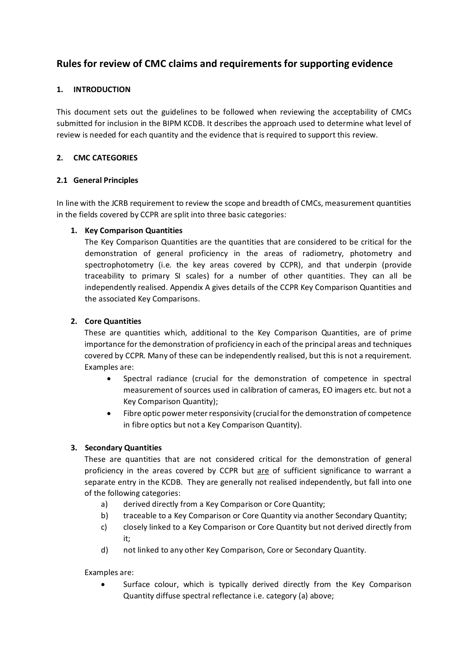## **Rules for review of CMC claims and requirements for supporting evidence**

## **1. INTRODUCTION**

This document sets out the guidelines to be followed when reviewing the acceptability of CMCs submitted for inclusion in the BIPM KCDB. It describes the approach used to determine what level of review is needed for each quantity and the evidence that is required to support this review.

### **2. CMC CATEGORIES**

#### **2.1 General Principles**

In line with the JCRB requirement to review the scope and breadth of CMCs, measurement quantities in the fields covered by CCPR are split into three basic categories:

## **1. Key Comparison Quantities**

The Key Comparison Quantities are the quantities that are considered to be critical for the demonstration of general proficiency in the areas of radiometry, photometry and spectrophotometry (i.e. the key areas covered by CCPR), and that underpin (provide traceability to primary SI scales) for a number of other quantities. They can all be independently realised. Appendix A gives details of the CCPR Key Comparison Quantities and the associated Key Comparisons.

## **2. Core Quantities**

These are quantities which, additional to the Key Comparison Quantities, are of prime importance for the demonstration of proficiency in each of the principal areas and techniques covered by CCPR. Many of these can be independently realised, but this is not a requirement. Examples are:

- Spectral radiance (crucial for the demonstration of competence in spectral measurement of sources used in calibration of cameras, EO imagers etc. but not a Key Comparison Quantity);
- Fibre optic power meter responsivity (crucial for the demonstration of competence in fibre optics but not a Key Comparison Quantity).

#### **3. Secondary Quantities**

These are quantities that are not considered critical for the demonstration of general proficiency in the areas covered by CCPR but are of sufficient significance to warrant a separate entry in the KCDB. They are generally not realised independently, but fall into one of the following categories:

- a) derived directly from a Key Comparison or Core Quantity;
- b) traceable to a Key Comparison or Core Quantity via another Secondary Quantity;
- c) closely linked to a Key Comparison or Core Quantity but not derived directly from it;
- d) not linked to any other Key Comparison, Core or Secondary Quantity.

#### Examples are:

Surface colour, which is typically derived directly from the Key Comparison Quantity diffuse spectral reflectance i.e. category (a) above;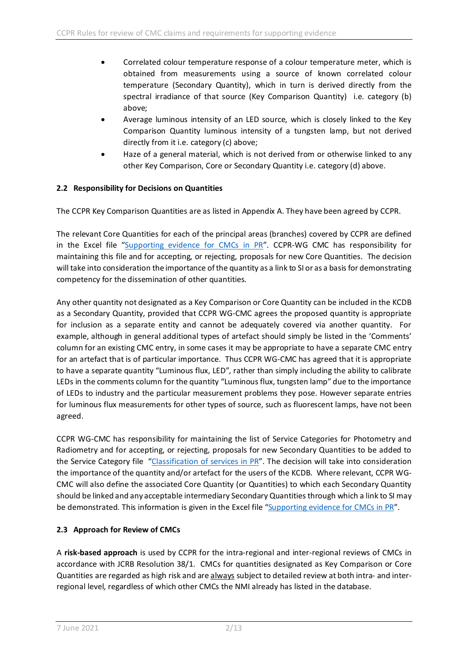- Correlated colour temperature response of a colour temperature meter, which is obtained from measurements using a source of known correlated colour temperature (Secondary Quantity), which in turn is derived directly from the spectral irradiance of that source (Key Comparison Quantity) i.e. category (b) above;
- Average luminous intensity of an LED source, which is closely linked to the Key Comparison Quantity luminous intensity of a tungsten lamp, but not derived directly from it i.e. category (c) above;
- Haze of a general material, which is not derived from or otherwise linked to any other Key Comparison, Core or Secondary Quantity i.e. category (d) above.

## **2.2 Responsibility for Decisions on Quantities**

The CCPR Key Comparison Quantities are as listed in Appendix A. They have been agreed by CCPR.

The relevant Core Quantities for each of the principal areas (branches) covered by CCPR are defined in the Excel file ["Supporting evidence for CMCs in PR"](https://www.bipm.org/utils/common/pdf/CC/CCPR/CMC-evidence.xlsx?web=1). CCPR-WG CMC has responsibility for maintaining this file and for accepting, or rejecting, proposals for new Core Quantities. The decision will take into consideration the importance of the quantity as a link to SI or as a basis for demonstrating competency for the dissemination of other quantities.

Any other quantity not designated as a Key Comparison or Core Quantity can be included in the KCDB as a Secondary Quantity, provided that CCPR WG-CMC agrees the proposed quantity is appropriate for inclusion as a separate entity and cannot be adequately covered via another quantity. For example, although in general additional types of artefact should simply be listed in the 'Comments' column for an existing CMC entry, in some cases it may be appropriate to have a separate CMC entry for an artefact that is of particular importance. Thus CCPR WG-CMC has agreed that it is appropriate to have a separate quantity "Luminous flux, LED", rather than simply including the ability to calibrate LEDs in the comments column for the quantity "Luminous flux, tungsten lamp" due to the importance of LEDs to industry and the particular measurement problems they pose. However separate entries for luminous flux measurements for other types of source, such as fluorescent lamps, have not been agreed.

CCPR WG-CMC has responsibility for maintaining the list of Service Categories for Photometry and Radiometry and for accepting, or rejecting, proposals for new Secondary Quantities to be added to the Service Category file ["Classification of services in PR"](https://www.bipm.org/utils/common/pdf/KCDB_2.0/CMC_services/PR_services.pdf). The decision will take into consideration the importance of the quantity and/or artefact for the users of the KCDB. Where relevant, CCPR WG-CMC will also define the associated Core Quantity (or Quantities) to which each Secondary Quantity should be linked and any acceptable intermediary Secondary Quantities through which a link to SI may be demonstrated. This information is given in the Excel file ["Supporting evidence for CMCs in PR"](https://www.bipm.org/utils/common/pdf/CC/CCPR/CMC-evidence.xlsx?web=1).

## **2.3 Approach for Review of CMCs**

A **risk-based approach** is used by CCPR for the intra-regional and inter-regional reviews of CMCs in accordance with JCRB Resolution 38/1. CMCs for quantities designated as Key Comparison or Core Quantities are regarded as high risk and are always subject to detailed review at both intra- and interregional level, regardless of which other CMCs the NMI already has listed in the database.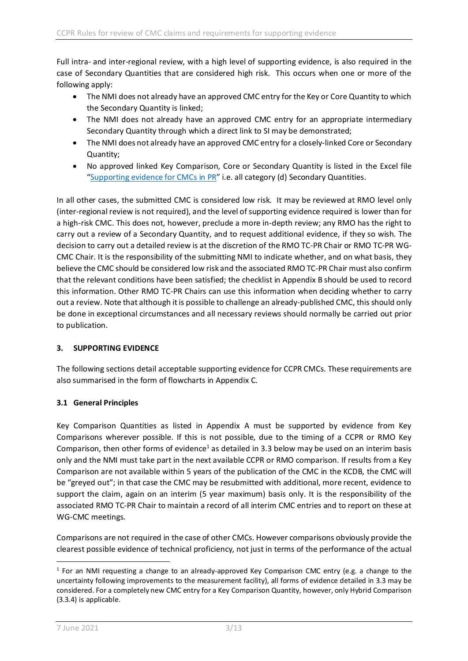Full intra- and inter-regional review, with a high level of supporting evidence, is also required in the case of Secondary Quantities that are considered high risk. This occurs when one or more of the following apply:

- The NMI does not already have an approved CMC entry for the Key or Core Quantity to which the Secondary Quantity is linked;
- The NMI does not already have an approved CMC entry for an appropriate intermediary Secondary Quantity through which a direct link to SI may be demonstrated;
- The NMI does not already have an approved CMC entry for a closely-linked Core or Secondary Quantity;
- No approved linked Key Comparison, Core or Secondary Quantity is listed in the Excel file ["Supporting evidence for CMCs in PR"](https://www.bipm.org/utils/common/pdf/CC/CCPR/CMC-evidence.xlsx?web=1) i.e. all category (d) Secondary Quantities.

In all other cases, the submitted CMC is considered low risk. It may be reviewed at RMO level only (inter-regional review is not required), and the level of supporting evidence required is lower than for a high-risk CMC. This does not, however, preclude a more in-depth review; any RMO has the right to carry out a review of a Secondary Quantity, and to request additional evidence, if they so wish. The decision to carry out a detailed review is at the discretion of the RMO TC-PR Chair or RMO TC-PR WG-CMC Chair. It is the responsibility of the submitting NMI to indicate whether, and on what basis, they believe the CMC should be considered low risk and the associated RMO TC-PR Chair must also confirm that the relevant conditions have been satisfied; the checklist in Appendix B should be used to record this information. Other RMO TC-PR Chairs can use this information when deciding whether to carry out a review. Note that although it is possible to challenge an already-published CMC, this should only be done in exceptional circumstances and all necessary reviews should normally be carried out prior to publication.

## **3. SUPPORTING EVIDENCE**

The following sections detail acceptable supporting evidence for CCPR CMCs. These requirements are also summarised in the form of flowcharts in Appendix C.

#### **3.1 General Principles**

Key Comparison Quantities as listed in Appendix A must be supported by evidence from Key Comparisons wherever possible. If this is not possible, due to the timing of a CCPR or RMO Key Comparison, then other forms of evidence<sup>[1](#page-2-0)</sup> as detailed in 3.3 below may be used on an interim basis only and the NMI must take part in the next available CCPR or RMO comparison. If results from a Key Comparison are not available within 5 years of the publication of the CMC in the KCDB, the CMC will be "greyed out"; in that case the CMC may be resubmitted with additional, more recent, evidence to support the claim, again on an interim (5 year maximum) basis only. It is the responsibility of the associated RMO TC-PR Chair to maintain a record of all interim CMC entries and to report on these at WG-CMC meetings.

Comparisons are not required in the case of other CMCs. However comparisons obviously provide the clearest possible evidence of technical proficiency, not just in terms of the performance of the actual

<span id="page-2-0"></span> $1$  For an NMI requesting a change to an already-approved Key Comparison CMC entry (e.g. a change to the uncertainty following improvements to the measurement facility), all forms of evidence detailed in 3.3 may be considered. For a completely new CMC entry for a Key Comparison Quantity, however, only Hybrid Comparison (3.3.4) is applicable.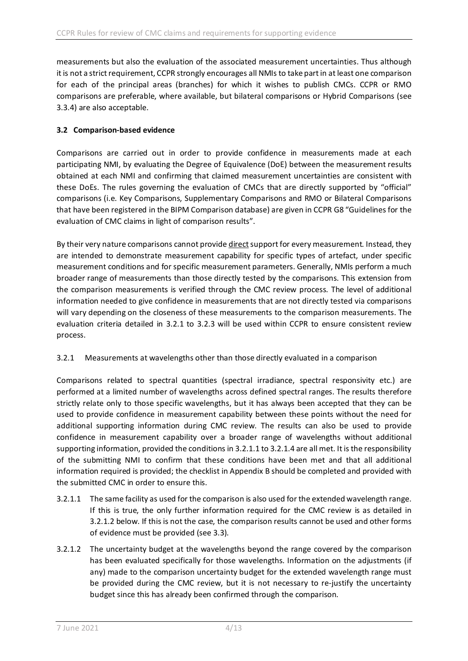measurements but also the evaluation of the associated measurement uncertainties. Thus although it is not a strict requirement, CCPR strongly encourages all NMIs to take part in at least one comparison for each of the principal areas (branches) for which it wishes to publish CMCs. CCPR or RMO comparisons are preferable, where available, but bilateral comparisons or Hybrid Comparisons (see 3.3.4) are also acceptable.

## **3.2 Comparison-based evidence**

Comparisons are carried out in order to provide confidence in measurements made at each participating NMI, by evaluating the Degree of Equivalence (DoE) between the measurement results obtained at each NMI and confirming that claimed measurement uncertainties are consistent with these DoEs. The rules governing the evaluation of CMCs that are directly supported by "official" comparisons (i.e. Key Comparisons, Supplementary Comparisons and RMO or Bilateral Comparisons that have been registered in the BIPM Comparison database) are given in CCPR G8 "Guidelines for the evaluation of CMC claims in light of comparison results".

By their very nature comparisons cannot provide direct support for every measurement. Instead, they are intended to demonstrate measurement capability for specific types of artefact, under specific measurement conditions and for specific measurement parameters. Generally, NMIs perform a much broader range of measurements than those directly tested by the comparisons. This extension from the comparison measurements is verified through the CMC review process. The level of additional information needed to give confidence in measurements that are not directly tested via comparisons will vary depending on the closeness of these measurements to the comparison measurements. The evaluation criteria detailed in 3.2.1 to 3.2.3 will be used within CCPR to ensure consistent review process.

#### 3.2.1 Measurements at wavelengths other than those directly evaluated in a comparison

Comparisons related to spectral quantities (spectral irradiance, spectral responsivity etc.) are performed at a limited number of wavelengths across defined spectral ranges. The results therefore strictly relate only to those specific wavelengths, but it has always been accepted that they can be used to provide confidence in measurement capability between these points without the need for additional supporting information during CMC review. The results can also be used to provide confidence in measurement capability over a broader range of wavelengths without additional supporting information, provided the conditions in 3.2.1.1 to 3.2.1.4 are all met. It is the responsibility of the submitting NMI to confirm that these conditions have been met and that all additional information required is provided; the checklist in Appendix B should be completed and provided with the submitted CMC in order to ensure this.

- 3.2.1.1 The same facility as used for the comparison is also used for the extended wavelength range. If this is true, the only further information required for the CMC review is as detailed in 3.2.1.2 below. If this is not the case, the comparison results cannot be used and other forms of evidence must be provided (see 3.3).
- 3.2.1.2 The uncertainty budget at the wavelengths beyond the range covered by the comparison has been evaluated specifically for those wavelengths. Information on the adjustments (if any) made to the comparison uncertainty budget for the extended wavelength range must be provided during the CMC review, but it is not necessary to re-justify the uncertainty budget since this has already been confirmed through the comparison.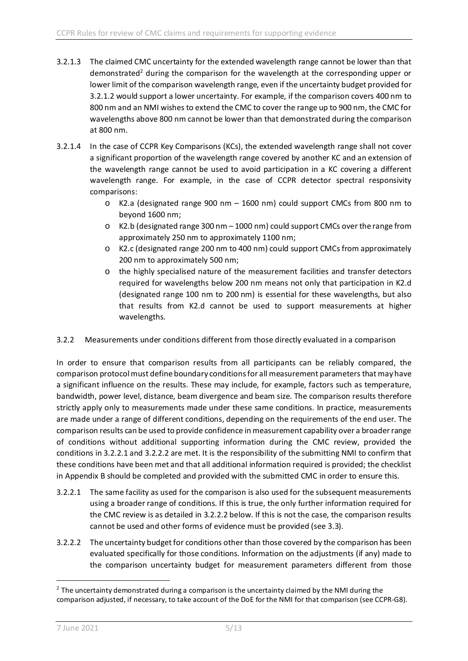- 3.2.1.3 The claimed CMC uncertainty for the extended wavelength range cannot be lower than that demonstrated<sup>2</sup> during the comparison for the wavelength at the corresponding upper or lower limit of the comparison wavelength range, even if the uncertainty budget provided for 3.2.1.2 would support a lower uncertainty. For example, if the comparison covers 400 nm to 800 nm and an NMI wishes to extend the CMC to cover the range up to 900 nm, the CMC for wavelengths above 800 nm cannot be lower than that demonstrated during the comparison at 800 nm.
- 3.2.1.4 In the case of CCPR Key Comparisons (KCs), the extended wavelength range shall not cover a significant proportion of the wavelength range covered by another KC and an extension of the wavelength range cannot be used to avoid participation in a KC covering a different wavelength range. For example, in the case of CCPR detector spectral responsivity comparisons:
	- o K2.a (designated range 900 nm 1600 nm) could support CMCs from 800 nm to beyond 1600 nm;
	- o K2.b (designated range 300 nm 1000 nm) could support CMCs over the range from approximately 250 nm to approximately 1100 nm;
	- o K2.c (designated range 200 nm to 400 nm) could support CMCs from approximately 200 nm to approximately 500 nm;
	- o the highly specialised nature of the measurement facilities and transfer detectors required for wavelengths below 200 nm means not only that participation in K2.d (designated range 100 nm to 200 nm) is essential for these wavelengths, but also that results from K2.d cannot be used to support measurements at higher wavelengths.

#### 3.2.2 Measurements under conditions different from those directly evaluated in a comparison

In order to ensure that comparison results from all participants can be reliably compared, the comparison protocol must define boundary conditions for all measurement parameters that may have a significant influence on the results. These may include, for example, factors such as temperature, bandwidth, power level, distance, beam divergence and beam size. The comparison results therefore strictly apply only to measurements made under these same conditions. In practice, measurements are made under a range of different conditions, depending on the requirements of the end user. The comparison results can be used to provide confidence in measurement capability over a broader range of conditions without additional supporting information during the CMC review, provided the conditions in 3.2.2.1 and 3.2.2.2 are met. It is the responsibility of the submitting NMI to confirm that these conditions have been met and that all additional information required is provided; the checklist in Appendix B should be completed and provided with the submitted CMC in order to ensure this.

- 3.2.2.1 The same facility as used for the comparison is also used for the subsequent measurements using a broader range of conditions. If this is true, the only further information required for the CMC review is as detailed in 3.2.2.2 below. If this is not the case, the comparison results cannot be used and other forms of evidence must be provided (see 3.3).
- 3.2.2.2 The uncertainty budget for conditions other than those covered by the comparison has been evaluated specifically for those conditions. Information on the adjustments (if any) made to the comparison uncertainty budget for measurement parameters different from those

<span id="page-4-0"></span> $<sup>2</sup>$  The uncertainty demonstrated during a comparison is the uncertainty claimed by the NMI during the</sup> comparison adjusted, if necessary, to take account of the DoE for the NMI for that comparison (see CCPR-G8).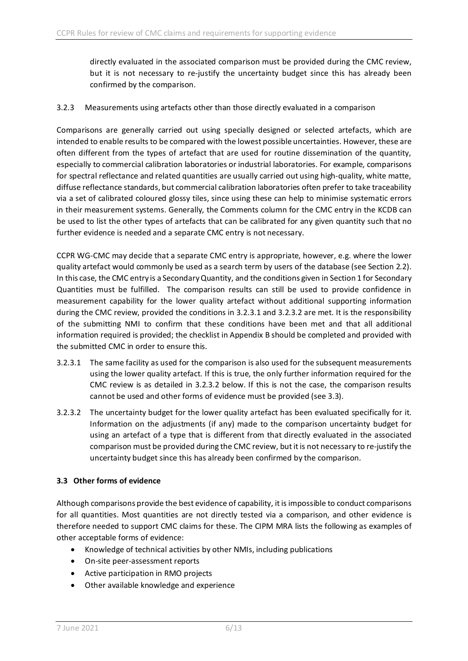directly evaluated in the associated comparison must be provided during the CMC review, but it is not necessary to re-justify the uncertainty budget since this has already been confirmed by the comparison.

### 3.2.3 Measurements using artefacts other than those directly evaluated in a comparison

Comparisons are generally carried out using specially designed or selected artefacts, which are intended to enable results to be compared with the lowest possible uncertainties. However, these are often different from the types of artefact that are used for routine dissemination of the quantity, especially to commercial calibration laboratories or industrial laboratories. For example, comparisons for spectral reflectance and related quantities are usually carried out using high-quality, white matte, diffuse reflectance standards, but commercial calibration laboratories often prefer to take traceability via a set of calibrated coloured glossy tiles, since using these can help to minimise systematic errors in their measurement systems. Generally, the Comments column for the CMC entry in the KCDB can be used to list the other types of artefacts that can be calibrated for any given quantity such that no further evidence is needed and a separate CMC entry is not necessary.

CCPR WG-CMC may decide that a separate CMC entry is appropriate, however, e.g. where the lower quality artefact would commonly be used as a search term by users of the database (see Section 2.2). In this case, the CMC entry is a Secondary Quantity, and the conditions given in Section 1 for Secondary Quantities must be fulfilled. The comparison results can still be used to provide confidence in measurement capability for the lower quality artefact without additional supporting information during the CMC review, provided the conditions in 3.2.3.1 and 3.2.3.2 are met. It is the responsibility of the submitting NMI to confirm that these conditions have been met and that all additional information required is provided; the checklist in Appendix B should be completed and provided with the submitted CMC in order to ensure this.

- 3.2.3.1 The same facility as used for the comparison is also used for the subsequent measurements using the lower quality artefact. If this is true, the only further information required for the CMC review is as detailed in 3.2.3.2 below. If this is not the case, the comparison results cannot be used and other forms of evidence must be provided (see 3.3).
- 3.2.3.2 The uncertainty budget for the lower quality artefact has been evaluated specifically for it. Information on the adjustments (if any) made to the comparison uncertainty budget for using an artefact of a type that is different from that directly evaluated in the associated comparison must be provided during the CMC review, but it is not necessary to re-justify the uncertainty budget since this has already been confirmed by the comparison.

#### **3.3 Other forms of evidence**

Although comparisons provide the best evidence of capability, it is impossible to conduct comparisons for all quantities. Most quantities are not directly tested via a comparison, and other evidence is therefore needed to support CMC claims for these. The CIPM MRA lists the following as examples of other acceptable forms of evidence:

- Knowledge of technical activities by other NMIs, including publications
- On-site peer-assessment reports
- Active participation in RMO projects
- Other available knowledge and experience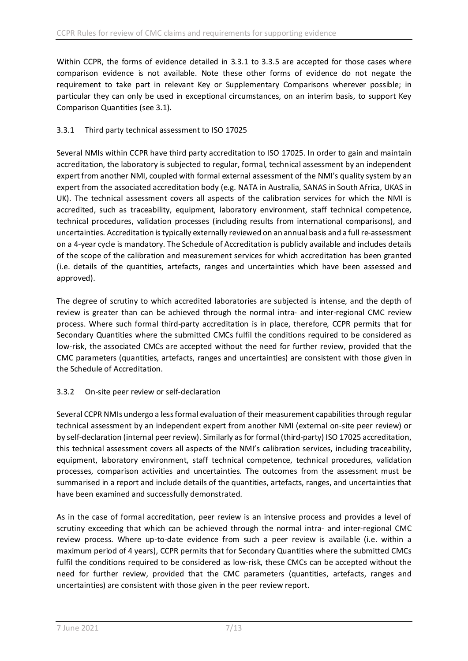Within CCPR, the forms of evidence detailed in 3.3.1 to 3.3.5 are accepted for those cases where comparison evidence is not available. Note these other forms of evidence do not negate the requirement to take part in relevant Key or Supplementary Comparisons wherever possible; in particular they can only be used in exceptional circumstances, on an interim basis, to support Key Comparison Quantities (see 3.1).

## 3.3.1 Third party technical assessment to ISO 17025

Several NMIs within CCPR have third party accreditation to ISO 17025. In order to gain and maintain accreditation, the laboratory is subjected to regular, formal, technical assessment by an independent expert from another NMI, coupled with formal external assessment of the NMI's quality system by an expert from the associated accreditation body (e.g. NATA in Australia, SANAS in South Africa, UKAS in UK). The technical assessment covers all aspects of the calibration services for which the NMI is accredited, such as traceability, equipment, laboratory environment, staff technical competence, technical procedures, validation processes (including results from international comparisons), and uncertainties. Accreditation is typically externally reviewed on an annual basis and a full re-assessment on a 4-year cycle is mandatory. The Schedule of Accreditation is publicly available and includes details of the scope of the calibration and measurement services for which accreditation has been granted (i.e. details of the quantities, artefacts, ranges and uncertainties which have been assessed and approved).

The degree of scrutiny to which accredited laboratories are subjected is intense, and the depth of review is greater than can be achieved through the normal intra- and inter-regional CMC review process. Where such formal third-party accreditation is in place, therefore, CCPR permits that for Secondary Quantities where the submitted CMCs fulfil the conditions required to be considered as low-risk, the associated CMCs are accepted without the need for further review, provided that the CMC parameters (quantities, artefacts, ranges and uncertainties) are consistent with those given in the Schedule of Accreditation.

## 3.3.2 On-site peer review or self-declaration

Several CCPR NMIs undergo a less formal evaluation of their measurement capabilities through regular technical assessment by an independent expert from another NMI (external on-site peer review) or by self-declaration (internal peer review). Similarly as for formal (third-party) ISO 17025 accreditation, this technical assessment covers all aspects of the NMI's calibration services, including traceability, equipment, laboratory environment, staff technical competence, technical procedures, validation processes, comparison activities and uncertainties. The outcomes from the assessment must be summarised in a report and include details of the quantities, artefacts, ranges, and uncertainties that have been examined and successfully demonstrated.

As in the case of formal accreditation, peer review is an intensive process and provides a level of scrutiny exceeding that which can be achieved through the normal intra- and inter-regional CMC review process. Where up-to-date evidence from such a peer review is available (i.e. within a maximum period of 4 years), CCPR permits that for Secondary Quantities where the submitted CMCs fulfil the conditions required to be considered as low-risk, these CMCs can be accepted without the need for further review, provided that the CMC parameters (quantities, artefacts, ranges and uncertainties) are consistent with those given in the peer review report.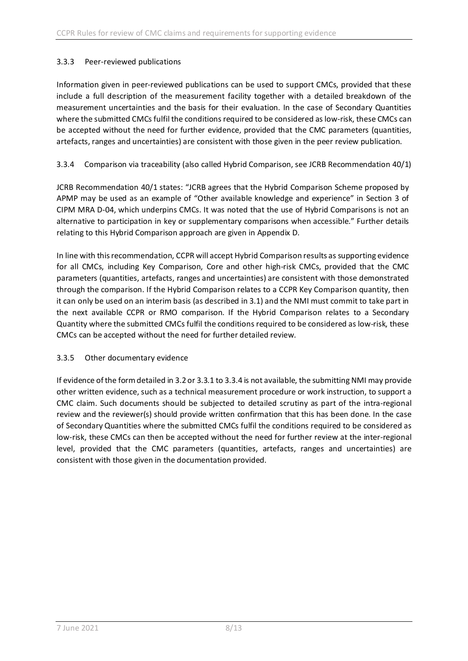## 3.3.3 Peer-reviewed publications

Information given in peer-reviewed publications can be used to support CMCs, provided that these include a full description of the measurement facility together with a detailed breakdown of the measurement uncertainties and the basis for their evaluation. In the case of Secondary Quantities where the submitted CMCs fulfil the conditions required to be considered as low-risk, these CMCs can be accepted without the need for further evidence, provided that the CMC parameters (quantities, artefacts, ranges and uncertainties) are consistent with those given in the peer review publication.

## 3.3.4 Comparison via traceability (also called Hybrid Comparison, see JCRB Recommendation 40/1)

JCRB Recommendation 40/1 states: "JCRB agrees that the Hybrid Comparison Scheme proposed by APMP may be used as an example of "Other available knowledge and experience" in Section 3 of CIPM MRA D-04, which underpins CMCs. It was noted that the use of Hybrid Comparisons is not an alternative to participation in key or supplementary comparisons when accessible." Further details relating to this Hybrid Comparison approach are given in Appendix D.

In line with this recommendation, CCPR will accept Hybrid Comparison results as supporting evidence for all CMCs, including Key Comparison, Core and other high-risk CMCs, provided that the CMC parameters (quantities, artefacts, ranges and uncertainties) are consistent with those demonstrated through the comparison. If the Hybrid Comparison relates to a CCPR Key Comparison quantity, then it can only be used on an interim basis (as described in 3.1) and the NMI must commit to take part in the next available CCPR or RMO comparison. If the Hybrid Comparison relates to a Secondary Quantity where the submitted CMCs fulfil the conditions required to be considered as low-risk, these CMCs can be accepted without the need for further detailed review.

#### 3.3.5 Other documentary evidence

If evidence of the form detailed in 3.2or 3.3.1 to 3.3.4 is not available, the submitting NMI may provide other written evidence, such as a technical measurement procedure or work instruction, to support a CMC claim. Such documents should be subjected to detailed scrutiny as part of the intra-regional review and the reviewer(s) should provide written confirmation that this has been done. In the case of Secondary Quantities where the submitted CMCs fulfil the conditions required to be considered as low-risk, these CMCs can then be accepted without the need for further review at the inter-regional level, provided that the CMC parameters (quantities, artefacts, ranges and uncertainties) are consistent with those given in the documentation provided.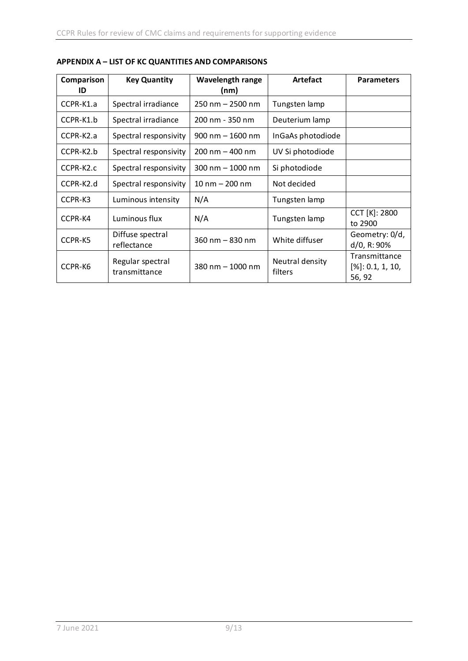| Comparison | <b>Key Quantity</b>               | <b>Wavelength range</b>            | <b>Artefact</b>            | <b>Parameters</b>                              |
|------------|-----------------------------------|------------------------------------|----------------------------|------------------------------------------------|
| ID         |                                   | (nm)                               |                            |                                                |
| CCPR-K1.a  | Spectral irradiance               | $250 \text{ nm} - 2500 \text{ nm}$ | Tungsten lamp              |                                                |
| CCPR-K1.b  | Spectral irradiance               | 200 nm - 350 nm                    | Deuterium lamp             |                                                |
| CCPR-K2.a  | Spectral responsivity             | $900$ nm $-$ 1600 nm               | InGaAs photodiode          |                                                |
| CCPR-K2.b  | Spectral responsivity             | $200 \text{ nm} - 400 \text{ nm}$  | UV Si photodiode           |                                                |
| CCPR-K2.c  | Spectral responsivity             | $300 \text{ nm} - 1000 \text{ nm}$ | Si photodiode              |                                                |
| CCPR-K2.d  | Spectral responsivity             | $10 \text{ nm} - 200 \text{ nm}$   | Not decided                |                                                |
| CCPR-K3    | Luminous intensity                | N/A                                | Tungsten lamp              |                                                |
| CCPR-K4    | Luminous flux                     | N/A                                | Tungsten lamp              | CCT [K]: 2800<br>to 2900                       |
| CCPR-K5    | Diffuse spectral<br>reflectance   | $360 \text{ nm} - 830 \text{ nm}$  | White diffuser             | Geometry: 0/d,<br>d/0, R: 90%                  |
| CCPR-K6    | Regular spectral<br>transmittance | 380 nm $-$ 1000 nm                 | Neutral density<br>filters | Transmittance<br>$[\%]: 0.1, 1, 10,$<br>56, 92 |

**APPENDIX A – LIST OF KC QUANTITIES AND COMPARISONS**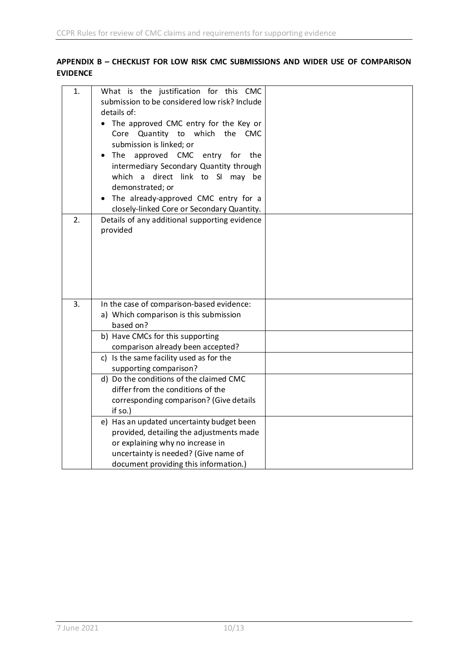## **APPENDIX B – CHECKLIST FOR LOW RISK CMC SUBMISSIONS AND WIDER USE OF COMPARISON EVIDENCE**

| 1. | What is the justification for this CMC<br>submission to be considered low risk? Include<br>details of:<br>• The approved CMC entry for the Key or<br>Core Quantity to which the CMC<br>submission is linked; or<br>The<br>approved CMC entry for the<br>intermediary Secondary Quantity through<br>a direct link to SI may be<br>which<br>demonstrated; or<br>The already-approved CMC entry for a<br>$\bullet$<br>closely-linked Core or Secondary Quantity.                                                     |  |
|----|-------------------------------------------------------------------------------------------------------------------------------------------------------------------------------------------------------------------------------------------------------------------------------------------------------------------------------------------------------------------------------------------------------------------------------------------------------------------------------------------------------------------|--|
| 2. | Details of any additional supporting evidence<br>provided                                                                                                                                                                                                                                                                                                                                                                                                                                                         |  |
| 3. | In the case of comparison-based evidence:<br>a) Which comparison is this submission<br>based on?<br>b) Have CMCs for this supporting<br>comparison already been accepted?<br>c) Is the same facility used as for the<br>supporting comparison?<br>d) Do the conditions of the claimed CMC<br>differ from the conditions of the<br>corresponding comparison? (Give details<br>if so.)<br>e) Has an updated uncertainty budget been<br>provided, detailing the adjustments made<br>or explaining why no increase in |  |
|    | uncertainty is needed? (Give name of<br>document providing this information.)                                                                                                                                                                                                                                                                                                                                                                                                                                     |  |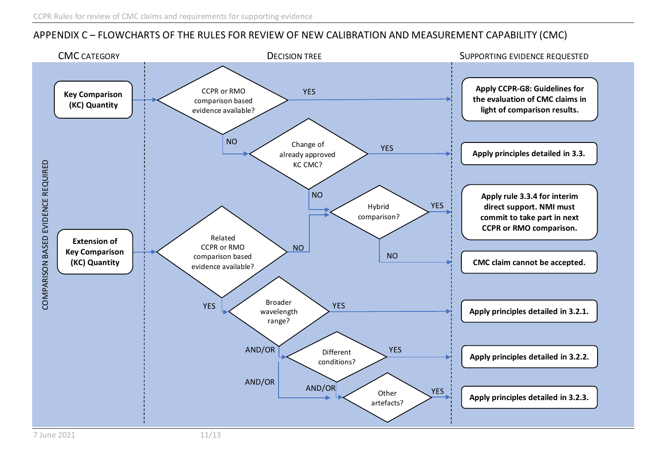# APPENDIX C – FLOWCHARTS OF THE RULES FOR REVIEW OF NEW CALIBRATION AND MEASUREMENT CAPABILITY (CMC)

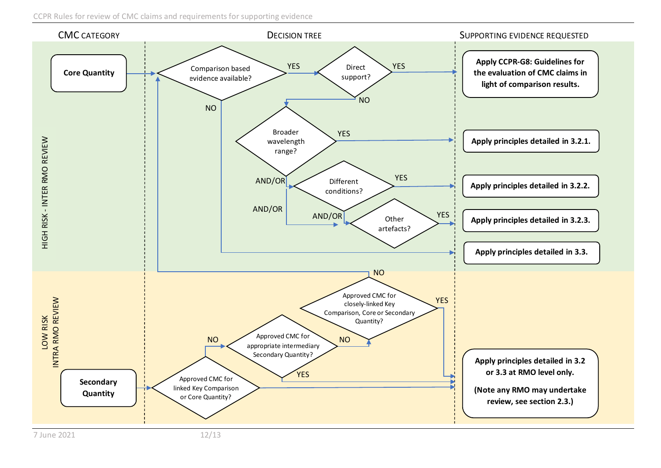